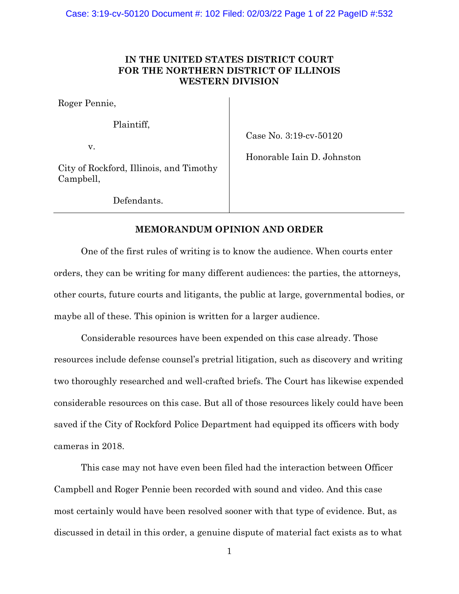# **IN THE UNITED STATES DISTRICT COURT FOR THE NORTHERN DISTRICT OF ILLINOIS WESTERN DIVISION**

Roger Pennie,

Plaintiff,

v.

Case No. 3:19-cv-50120

Honorable Iain D. Johnston

City of Rockford, Illinois, and Timothy Campbell,

Defendants.

# **MEMORANDUM OPINION AND ORDER**

One of the first rules of writing is to know the audience. When courts enter orders, they can be writing for many different audiences: the parties, the attorneys, other courts, future courts and litigants, the public at large, governmental bodies, or maybe all of these. This opinion is written for a larger audience.

Considerable resources have been expended on this case already. Those resources include defense counsel's pretrial litigation, such as discovery and writing two thoroughly researched and well-crafted briefs. The Court has likewise expended considerable resources on this case. But all of those resources likely could have been saved if the City of Rockford Police Department had equipped its officers with body cameras in 2018.

This case may not have even been filed had the interaction between Officer Campbell and Roger Pennie been recorded with sound and video. And this case most certainly would have been resolved sooner with that type of evidence. But, as discussed in detail in this order, a genuine dispute of material fact exists as to what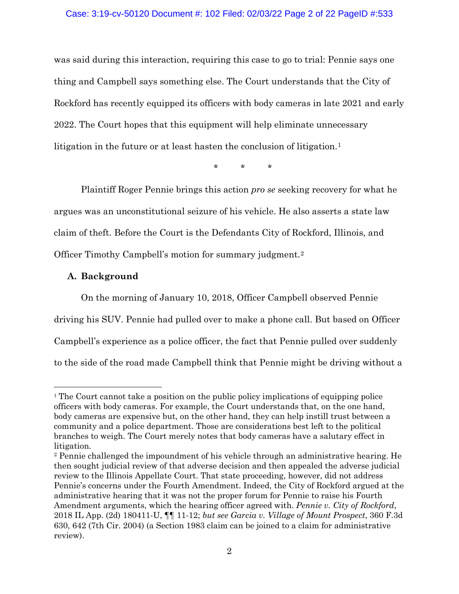## Case: 3:19-cv-50120 Document #: 102 Filed: 02/03/22 Page 2 of 22 PageID #:533

was said during this interaction, requiring this case to go to trial: Pennie says one thing and Campbell says something else. The Court understands that the City of Rockford has recently equipped its officers with body cameras in late 2021 and early 2022. The Court hopes that this equipment will help eliminate unnecessary litigation in the future or at least hasten the conclusion of litigation.<sup>[1](#page-1-0)</sup>

\* \* \*

Plaintiff Roger Pennie brings this action *pro se* seeking recovery for what he argues was an unconstitutional seizure of his vehicle. He also asserts a state law claim of theft. Before the Court is the Defendants City of Rockford, Illinois, and Officer Timothy Campbell's motion for summary judgment.[2](#page-1-1)

## **A. Background**

On the morning of January 10, 2018, Officer Campbell observed Pennie driving his SUV. Pennie had pulled over to make a phone call. But based on Officer Campbell's experience as a police officer, the fact that Pennie pulled over suddenly to the side of the road made Campbell think that Pennie might be driving without a

<span id="page-1-0"></span><sup>1</sup> The Court cannot take a position on the public policy implications of equipping police officers with body cameras. For example, the Court understands that, on the one hand, body cameras are expensive but, on the other hand, they can help instill trust between a community and a police department. Those are considerations best left to the political branches to weigh. The Court merely notes that body cameras have a salutary effect in litigation.

<span id="page-1-1"></span><sup>2</sup> Pennie challenged the impoundment of his vehicle through an administrative hearing. He then sought judicial review of that adverse decision and then appealed the adverse judicial review to the Illinois Appellate Court. That state proceeding, however, did not address Pennie's concerns under the Fourth Amendment. Indeed, the City of Rockford argued at the administrative hearing that it was not the proper forum for Pennie to raise his Fourth Amendment arguments, which the hearing officer agreed with. *Pennie v. City of Rockford*, 2018 IL App. (2d) 180411-U, ¶¶ 11-12; *but see Garcia v. Village of Mount Prospect*, 360 F.3d 630, 642 (7th Cir. 2004) (a Section 1983 claim can be joined to a claim for administrative review).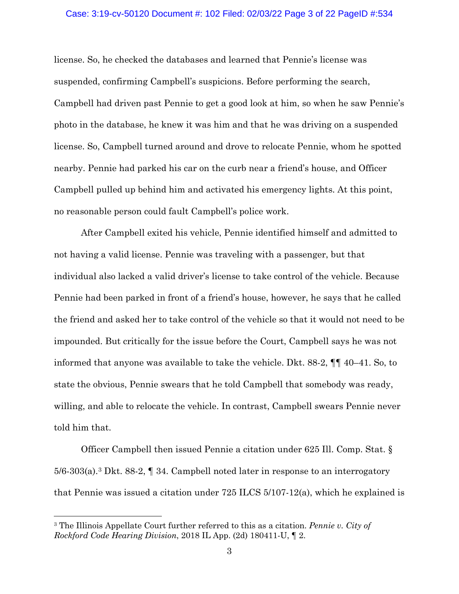#### Case: 3:19-cv-50120 Document #: 102 Filed: 02/03/22 Page 3 of 22 PageID #:534

license. So, he checked the databases and learned that Pennie's license was suspended, confirming Campbell's suspicions. Before performing the search, Campbell had driven past Pennie to get a good look at him, so when he saw Pennie's photo in the database, he knew it was him and that he was driving on a suspended license. So, Campbell turned around and drove to relocate Pennie, whom he spotted nearby. Pennie had parked his car on the curb near a friend's house, and Officer Campbell pulled up behind him and activated his emergency lights. At this point, no reasonable person could fault Campbell's police work.

After Campbell exited his vehicle, Pennie identified himself and admitted to not having a valid license. Pennie was traveling with a passenger, but that individual also lacked a valid driver's license to take control of the vehicle. Because Pennie had been parked in front of a friend's house, however, he says that he called the friend and asked her to take control of the vehicle so that it would not need to be impounded. But critically for the issue before the Court, Campbell says he was not informed that anyone was available to take the vehicle. Dkt. 88-2, ¶¶ 40–41. So, to state the obvious, Pennie swears that he told Campbell that somebody was ready, willing, and able to relocate the vehicle. In contrast, Campbell swears Pennie never told him that.

Officer Campbell then issued Pennie a citation under 625 Ill. Comp. Stat. §  $5/6$ -[3](#page-2-0)03(a).<sup>3</sup> Dkt. 88-2,  $\P$  34. Campbell noted later in response to an interrogatory that Pennie was issued a citation under 725 ILCS 5/107-12(a), which he explained is

<span id="page-2-0"></span><sup>3</sup> The Illinois Appellate Court further referred to this as a citation. *Pennie v. City of Rockford Code Hearing Division*, 2018 IL App. (2d) 180411-U, ¶ 2.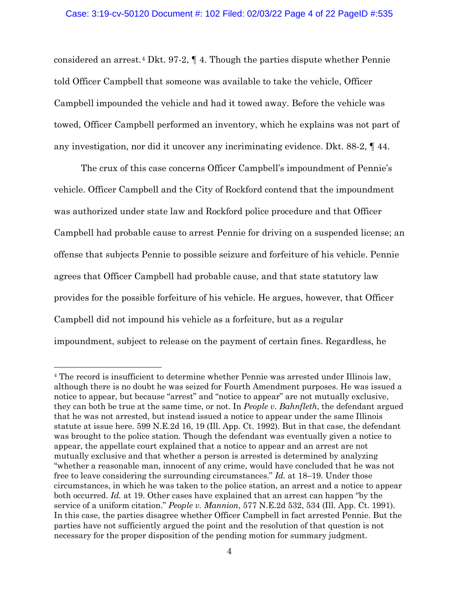considered an arrest.[4](#page-3-0) Dkt. 97-2, ¶ 4. Though the parties dispute whether Pennie told Officer Campbell that someone was available to take the vehicle, Officer Campbell impounded the vehicle and had it towed away. Before the vehicle was towed, Officer Campbell performed an inventory, which he explains was not part of any investigation, nor did it uncover any incriminating evidence. Dkt. 88-2, ¶ 44.

The crux of this case concerns Officer Campbell's impoundment of Pennie's vehicle. Officer Campbell and the City of Rockford contend that the impoundment was authorized under state law and Rockford police procedure and that Officer Campbell had probable cause to arrest Pennie for driving on a suspended license; an offense that subjects Pennie to possible seizure and forfeiture of his vehicle. Pennie agrees that Officer Campbell had probable cause, and that state statutory law provides for the possible forfeiture of his vehicle. He argues, however, that Officer Campbell did not impound his vehicle as a forfeiture, but as a regular impoundment, subject to release on the payment of certain fines. Regardless, he

<span id="page-3-0"></span><sup>4</sup> The record is insufficient to determine whether Pennie was arrested under Illinois law, although there is no doubt he was seized for Fourth Amendment purposes. He was issued a notice to appear, but because "arrest" and "notice to appear" are not mutually exclusive, they can both be true at the same time, or not. In *People v. Bahnfleth*, the defendant argued that he was not arrested, but instead issued a notice to appear under the same Illinois statute at issue here. 599 N.E.2d 16, 19 (Ill. App. Ct. 1992). But in that case, the defendant was brought to the police station. Though the defendant was eventually given a notice to appear, the appellate court explained that a notice to appear and an arrest are not mutually exclusive and that whether a person is arrested is determined by analyzing "whether a reasonable man, innocent of any crime, would have concluded that he was not free to leave considering the surrounding circumstances." *Id.* at 18–19. Under those circumstances, in which he was taken to the police station, an arrest and a notice to appear both occurred. *Id.* at 19. Other cases have explained that an arrest can happen "by the service of a uniform citation." *People v. Mannion*, 577 N.E.2d 532, 534 (Ill. App. Ct. 1991). In this case, the parties disagree whether Officer Campbell in fact arrested Pennie. But the parties have not sufficiently argued the point and the resolution of that question is not necessary for the proper disposition of the pending motion for summary judgment.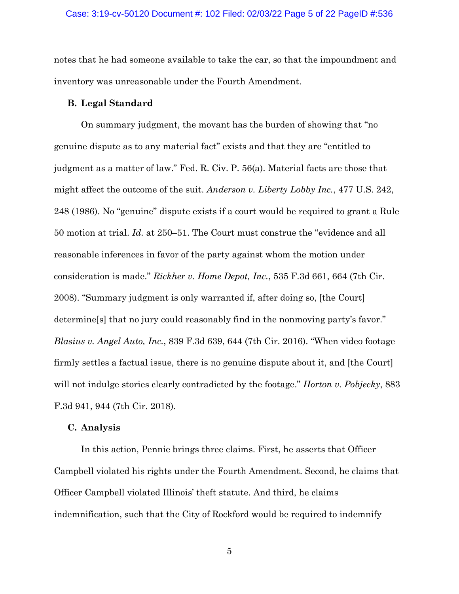notes that he had someone available to take the car, so that the impoundment and inventory was unreasonable under the Fourth Amendment.

## **B. Legal Standard**

On summary judgment, the movant has the burden of showing that "no genuine dispute as to any material fact" exists and that they are "entitled to judgment as a matter of law." Fed. R. Civ. P. 56(a). Material facts are those that might affect the outcome of the suit. *Anderson v. Liberty Lobby Inc.*, 477 U.S. 242, 248 (1986). No "genuine" dispute exists if a court would be required to grant a Rule 50 motion at trial. *Id.* at 250–51. The Court must construe the "evidence and all reasonable inferences in favor of the party against whom the motion under consideration is made." *Rickher v. Home Depot, Inc.*, 535 F.3d 661, 664 (7th Cir. 2008). "Summary judgment is only warranted if, after doing so, [the Court] determine[s] that no jury could reasonably find in the nonmoving party's favor." *Blasius v. Angel Auto, Inc.*, 839 F.3d 639, 644 (7th Cir. 2016). "When video footage firmly settles a factual issue, there is no genuine dispute about it, and [the Court] will not indulge stories clearly contradicted by the footage." *Horton v. Pobjecky*, 883 F.3d 941, 944 (7th Cir. 2018).

### **C. Analysis**

In this action, Pennie brings three claims. First, he asserts that Officer Campbell violated his rights under the Fourth Amendment. Second, he claims that Officer Campbell violated Illinois' theft statute. And third, he claims indemnification, such that the City of Rockford would be required to indemnify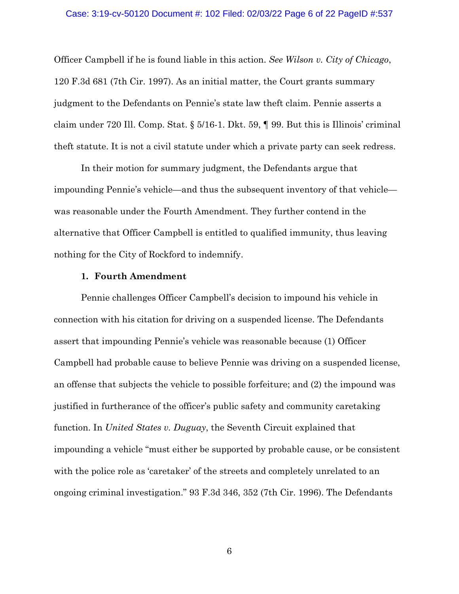### Case: 3:19-cv-50120 Document #: 102 Filed: 02/03/22 Page 6 of 22 PageID #:537

Officer Campbell if he is found liable in this action. *See Wilson v. City of Chicago*, 120 F.3d 681 (7th Cir. 1997). As an initial matter, the Court grants summary judgment to the Defendants on Pennie's state law theft claim. Pennie asserts a claim under 720 Ill. Comp. Stat. § 5/16-1. Dkt. 59, ¶ 99. But this is Illinois' criminal theft statute. It is not a civil statute under which a private party can seek redress.

In their motion for summary judgment, the Defendants argue that impounding Pennie's vehicle—and thus the subsequent inventory of that vehicle was reasonable under the Fourth Amendment. They further contend in the alternative that Officer Campbell is entitled to qualified immunity, thus leaving nothing for the City of Rockford to indemnify.

## **1. Fourth Amendment**

Pennie challenges Officer Campbell's decision to impound his vehicle in connection with his citation for driving on a suspended license. The Defendants assert that impounding Pennie's vehicle was reasonable because (1) Officer Campbell had probable cause to believe Pennie was driving on a suspended license, an offense that subjects the vehicle to possible forfeiture; and (2) the impound was justified in furtherance of the officer's public safety and community caretaking function. In *United States v. Duguay*, the Seventh Circuit explained that impounding a vehicle "must either be supported by probable cause, or be consistent with the police role as 'caretaker' of the streets and completely unrelated to an ongoing criminal investigation." 93 F.3d 346, 352 (7th Cir. 1996). The Defendants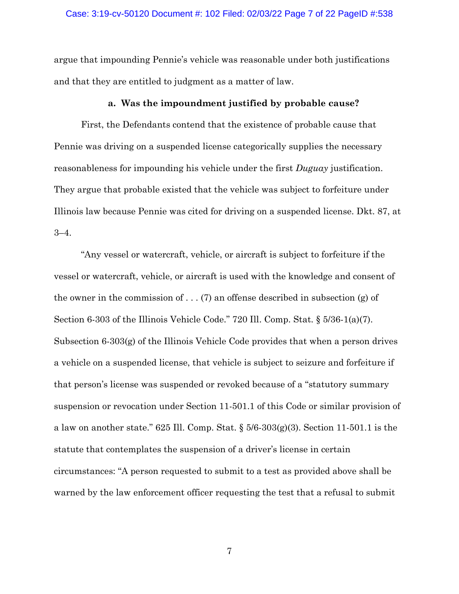### Case: 3:19-cv-50120 Document #: 102 Filed: 02/03/22 Page 7 of 22 PageID #:538

argue that impounding Pennie's vehicle was reasonable under both justifications and that they are entitled to judgment as a matter of law.

## **a. Was the impoundment justified by probable cause?**

First, the Defendants contend that the existence of probable cause that Pennie was driving on a suspended license categorically supplies the necessary reasonableness for impounding his vehicle under the first *Duguay* justification. They argue that probable existed that the vehicle was subject to forfeiture under Illinois law because Pennie was cited for driving on a suspended license. Dkt. 87, at 3–4.

"Any vessel or watercraft, vehicle, or aircraft is subject to forfeiture if the vessel or watercraft, vehicle, or aircraft is used with the knowledge and consent of the owner in the commission of . . . (7) an offense described in subsection (g) of Section 6-303 of the Illinois Vehicle Code." 720 Ill. Comp. Stat.  $\S 5/36-1(a)(7)$ . Subsection 6-303(g) of the Illinois Vehicle Code provides that when a person drives a vehicle on a suspended license, that vehicle is subject to seizure and forfeiture if that person's license was suspended or revoked because of a "statutory summary suspension or revocation under Section 11-501.1 of this Code or similar provision of a law on another state." 625 Ill. Comp. Stat.  $\S 5/6-303(g)(3)$ . Section 11-501.1 is the statute that contemplates the suspension of a driver's license in certain circumstances: "A person requested to submit to a test as provided above shall be warned by the law enforcement officer requesting the test that a refusal to submit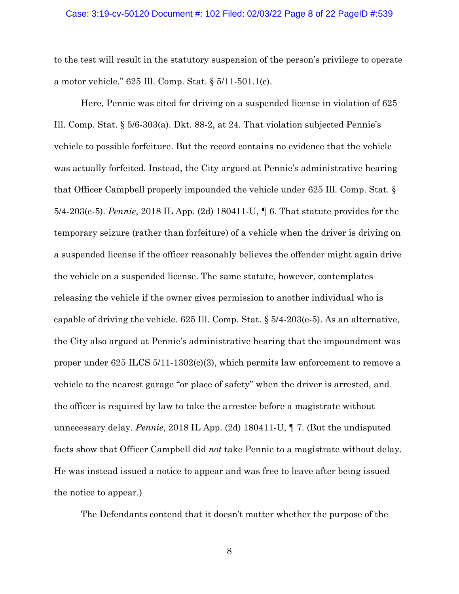#### Case: 3:19-cv-50120 Document #: 102 Filed: 02/03/22 Page 8 of 22 PageID #:539

to the test will result in the statutory suspension of the person's privilege to operate a motor vehicle." 625 Ill. Comp. Stat. § 5/11-501.1(c).

Here, Pennie was cited for driving on a suspended license in violation of 625 Ill. Comp. Stat. § 5/6-303(a). Dkt. 88-2, at 24. That violation subjected Pennie's vehicle to possible forfeiture. But the record contains no evidence that the vehicle was actually forfeited. Instead, the City argued at Pennie's administrative hearing that Officer Campbell properly impounded the vehicle under 625 Ill. Comp. Stat. § 5/4-203(e-5). *Pennie*, 2018 IL App. (2d) 180411-U, ¶ 6. That statute provides for the temporary seizure (rather than forfeiture) of a vehicle when the driver is driving on a suspended license if the officer reasonably believes the offender might again drive the vehicle on a suspended license. The same statute, however, contemplates releasing the vehicle if the owner gives permission to another individual who is capable of driving the vehicle. 625 Ill. Comp. Stat. § 5/4-203(e-5). As an alternative, the City also argued at Pennie's administrative hearing that the impoundment was proper under 625 ILCS 5/11-1302(c)(3), which permits law enforcement to remove a vehicle to the nearest garage "or place of safety" when the driver is arrested, and the officer is required by law to take the arrestee before a magistrate without unnecessary delay. *Pennie*, 2018 IL App. (2d) 180411-U, ¶ 7. (But the undisputed facts show that Officer Campbell did *not* take Pennie to a magistrate without delay. He was instead issued a notice to appear and was free to leave after being issued the notice to appear.)

The Defendants contend that it doesn't matter whether the purpose of the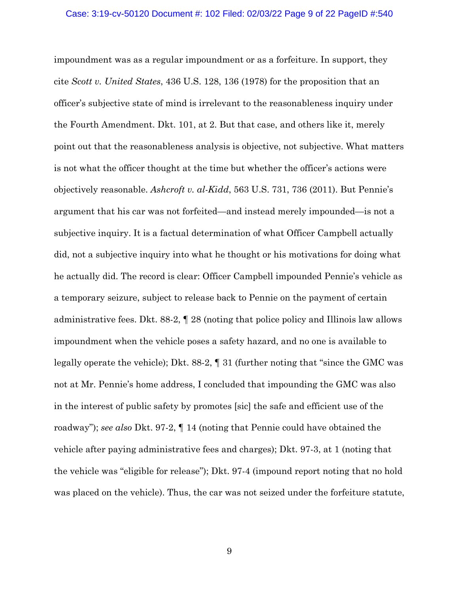#### Case: 3:19-cv-50120 Document #: 102 Filed: 02/03/22 Page 9 of 22 PageID #:540

impoundment was as a regular impoundment or as a forfeiture. In support, they cite *Scott v. United States*, 436 U.S. 128, 136 (1978) for the proposition that an officer's subjective state of mind is irrelevant to the reasonableness inquiry under the Fourth Amendment. Dkt. 101, at 2. But that case, and others like it, merely point out that the reasonableness analysis is objective, not subjective. What matters is not what the officer thought at the time but whether the officer's actions were objectively reasonable. *Ashcroft v. al-Kidd*, 563 U.S. 731, 736 (2011). But Pennie's argument that his car was not forfeited—and instead merely impounded—is not a subjective inquiry. It is a factual determination of what Officer Campbell actually did, not a subjective inquiry into what he thought or his motivations for doing what he actually did. The record is clear: Officer Campbell impounded Pennie's vehicle as a temporary seizure, subject to release back to Pennie on the payment of certain administrative fees. Dkt. 88-2, ¶ 28 (noting that police policy and Illinois law allows impoundment when the vehicle poses a safety hazard, and no one is available to legally operate the vehicle); Dkt. 88-2, ¶ 31 (further noting that "since the GMC was not at Mr. Pennie's home address, I concluded that impounding the GMC was also in the interest of public safety by promotes [sic] the safe and efficient use of the roadway"); *see also* Dkt. 97-2, ¶ 14 (noting that Pennie could have obtained the vehicle after paying administrative fees and charges); Dkt. 97-3, at 1 (noting that the vehicle was "eligible for release"); Dkt. 97-4 (impound report noting that no hold was placed on the vehicle). Thus, the car was not seized under the forfeiture statute,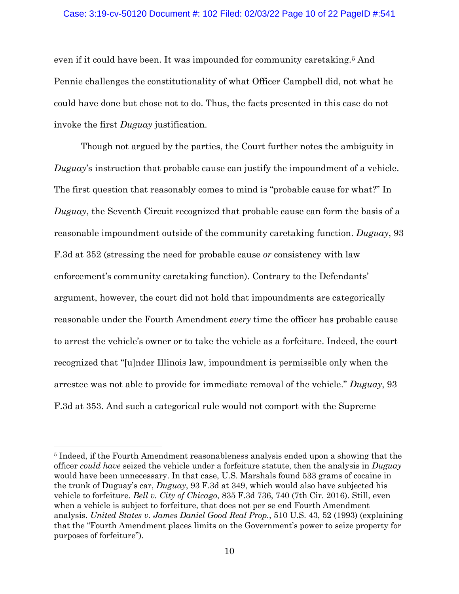### Case: 3:19-cv-50120 Document #: 102 Filed: 02/03/22 Page 10 of 22 PageID #:541

even if it could have been. It was impounded for community caretaking.[5](#page-9-0) And Pennie challenges the constitutionality of what Officer Campbell did, not what he could have done but chose not to do. Thus, the facts presented in this case do not invoke the first *Duguay* justification.

Though not argued by the parties, the Court further notes the ambiguity in *Duguay*'s instruction that probable cause can justify the impoundment of a vehicle. The first question that reasonably comes to mind is "probable cause for what?" In *Duguay*, the Seventh Circuit recognized that probable cause can form the basis of a reasonable impoundment outside of the community caretaking function. *Duguay*, 93 F.3d at 352 (stressing the need for probable cause *or* consistency with law enforcement's community caretaking function). Contrary to the Defendants' argument, however, the court did not hold that impoundments are categorically reasonable under the Fourth Amendment *every* time the officer has probable cause to arrest the vehicle's owner or to take the vehicle as a forfeiture. Indeed, the court recognized that "[u]nder Illinois law, impoundment is permissible only when the arrestee was not able to provide for immediate removal of the vehicle." *Duguay*, 93 F.3d at 353. And such a categorical rule would not comport with the Supreme

<span id="page-9-0"></span><sup>5</sup> Indeed, if the Fourth Amendment reasonableness analysis ended upon a showing that the officer *could have* seized the vehicle under a forfeiture statute, then the analysis in *Duguay* would have been unnecessary. In that case, U.S. Marshals found 533 grams of cocaine in the trunk of Duguay's car, *Duguay*, 93 F.3d at 349, which would also have subjected his vehicle to forfeiture. *Bell v. City of Chicago*, 835 F.3d 736, 740 (7th Cir. 2016). Still, even when a vehicle is subject to forfeiture, that does not per se end Fourth Amendment analysis. *United States v. James Daniel Good Real Prop.*, 510 U.S. 43, 52 (1993) (explaining that the "Fourth Amendment places limits on the Government's power to seize property for purposes of forfeiture").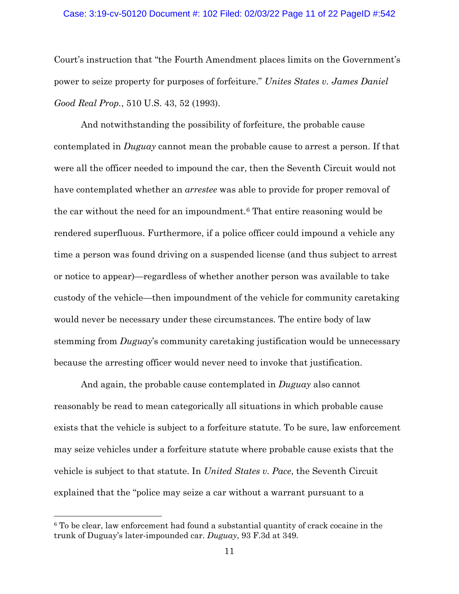### Case: 3:19-cv-50120 Document #: 102 Filed: 02/03/22 Page 11 of 22 PageID #:542

Court's instruction that "the Fourth Amendment places limits on the Government's power to seize property for purposes of forfeiture." *Unites States v. James Daniel Good Real Prop.*, 510 U.S. 43, 52 (1993).

And notwithstanding the possibility of forfeiture, the probable cause contemplated in *Duguay* cannot mean the probable cause to arrest a person. If that were all the officer needed to impound the car, then the Seventh Circuit would not have contemplated whether an *arrestee* was able to provide for proper removal of the car without the need for an impoundment.[6](#page-10-0) That entire reasoning would be rendered superfluous. Furthermore, if a police officer could impound a vehicle any time a person was found driving on a suspended license (and thus subject to arrest or notice to appear)—regardless of whether another person was available to take custody of the vehicle—then impoundment of the vehicle for community caretaking would never be necessary under these circumstances. The entire body of law stemming from *Duguay*'s community caretaking justification would be unnecessary because the arresting officer would never need to invoke that justification.

And again, the probable cause contemplated in *Duguay* also cannot reasonably be read to mean categorically all situations in which probable cause exists that the vehicle is subject to a forfeiture statute. To be sure, law enforcement may seize vehicles under a forfeiture statute where probable cause exists that the vehicle is subject to that statute. In *United States v. Pace*, the Seventh Circuit explained that the "police may seize a car without a warrant pursuant to a

<span id="page-10-0"></span><sup>6</sup> To be clear, law enforcement had found a substantial quantity of crack cocaine in the trunk of Duguay's later-impounded car. *Duguay*, 93 F.3d at 349.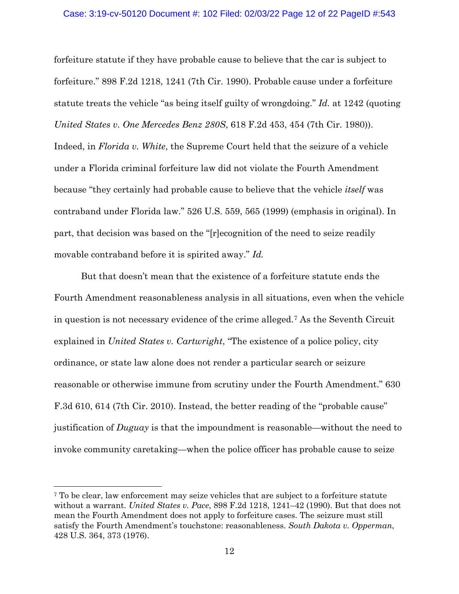#### Case: 3:19-cv-50120 Document #: 102 Filed: 02/03/22 Page 12 of 22 PageID #:543

forfeiture statute if they have probable cause to believe that the car is subject to forfeiture." 898 F.2d 1218, 1241 (7th Cir. 1990). Probable cause under a forfeiture statute treats the vehicle "as being itself guilty of wrongdoing." *Id.* at 1242 (quoting *United States v. One Mercedes Benz 280S*, 618 F.2d 453, 454 (7th Cir. 1980)). Indeed, in *Florida v. White*, the Supreme Court held that the seizure of a vehicle under a Florida criminal forfeiture law did not violate the Fourth Amendment because "they certainly had probable cause to believe that the vehicle *itself* was contraband under Florida law." 526 U.S. 559, 565 (1999) (emphasis in original). In part, that decision was based on the "[r]ecognition of the need to seize readily movable contraband before it is spirited away." *Id.*

But that doesn't mean that the existence of a forfeiture statute ends the Fourth Amendment reasonableness analysis in all situations, even when the vehicle in question is not necessary evidence of the crime alleged.[7](#page-11-0) As the Seventh Circuit explained in *United States v. Cartwright*, "The existence of a police policy, city ordinance, or state law alone does not render a particular search or seizure reasonable or otherwise immune from scrutiny under the Fourth Amendment." 630 F.3d 610, 614 (7th Cir. 2010). Instead, the better reading of the "probable cause" justification of *Duguay* is that the impoundment is reasonable—without the need to invoke community caretaking—when the police officer has probable cause to seize

<span id="page-11-0"></span><sup>7</sup> To be clear, law enforcement may seize vehicles that are subject to a forfeiture statute without a warrant. *United States v. Pace*, 898 F.2d 1218, 1241–42 (1990). But that does not mean the Fourth Amendment does not apply to forfeiture cases. The seizure must still satisfy the Fourth Amendment's touchstone: reasonableness. *South Dakota v. Opperman*, 428 U.S. 364, 373 (1976).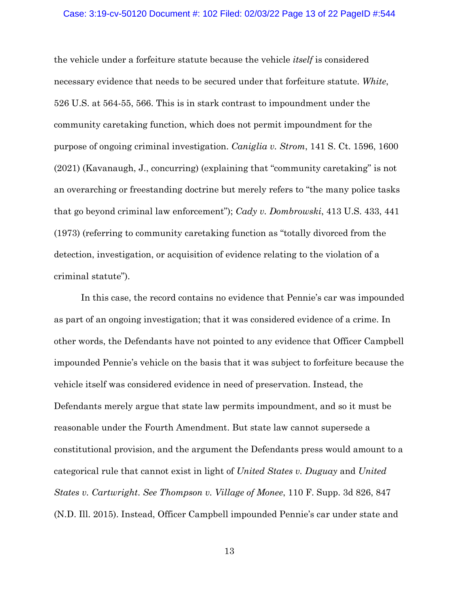#### Case: 3:19-cv-50120 Document #: 102 Filed: 02/03/22 Page 13 of 22 PageID #:544

the vehicle under a forfeiture statute because the vehicle *itself* is considered necessary evidence that needs to be secured under that forfeiture statute. *White*, 526 U.S. at 564-55, 566. This is in stark contrast to impoundment under the community caretaking function, which does not permit impoundment for the purpose of ongoing criminal investigation. *Caniglia v. Strom*, 141 S. Ct. 1596, 1600 (2021) (Kavanaugh, J., concurring) (explaining that "community caretaking" is not an overarching or freestanding doctrine but merely refers to "the many police tasks that go beyond criminal law enforcement"); *Cady v. Dombrowski*, 413 U.S. 433, 441 (1973) (referring to community caretaking function as "totally divorced from the detection, investigation, or acquisition of evidence relating to the violation of a criminal statute").

In this case, the record contains no evidence that Pennie's car was impounded as part of an ongoing investigation; that it was considered evidence of a crime. In other words, the Defendants have not pointed to any evidence that Officer Campbell impounded Pennie's vehicle on the basis that it was subject to forfeiture because the vehicle itself was considered evidence in need of preservation. Instead, the Defendants merely argue that state law permits impoundment, and so it must be reasonable under the Fourth Amendment. But state law cannot supersede a constitutional provision, and the argument the Defendants press would amount to a categorical rule that cannot exist in light of *United States v. Duguay* and *United States v. Cartwright*. *See Thompson v. Village of Monee*, 110 F. Supp. 3d 826, 847 (N.D. Ill. 2015). Instead, Officer Campbell impounded Pennie's car under state and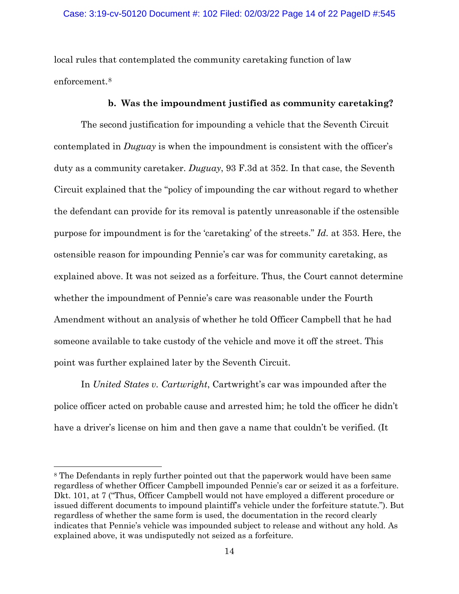local rules that contemplated the community caretaking function of law enforcement.[8](#page-13-0)

## **b. Was the impoundment justified as community caretaking?**

The second justification for impounding a vehicle that the Seventh Circuit contemplated in *Duguay* is when the impoundment is consistent with the officer's duty as a community caretaker. *Duguay*, 93 F.3d at 352. In that case, the Seventh Circuit explained that the "policy of impounding the car without regard to whether the defendant can provide for its removal is patently unreasonable if the ostensible purpose for impoundment is for the 'caretaking' of the streets." *Id.* at 353. Here, the ostensible reason for impounding Pennie's car was for community caretaking, as explained above. It was not seized as a forfeiture. Thus, the Court cannot determine whether the impoundment of Pennie's care was reasonable under the Fourth Amendment without an analysis of whether he told Officer Campbell that he had someone available to take custody of the vehicle and move it off the street. This point was further explained later by the Seventh Circuit.

In *United States v. Cartwright*, Cartwright's car was impounded after the police officer acted on probable cause and arrested him; he told the officer he didn't have a driver's license on him and then gave a name that couldn't be verified. (It

<span id="page-13-0"></span><sup>&</sup>lt;sup>8</sup> The Defendants in reply further pointed out that the paperwork would have been same regardless of whether Officer Campbell impounded Pennie's car or seized it as a forfeiture. Dkt. 101, at 7 ("Thus, Officer Campbell would not have employed a different procedure or issued different documents to impound plaintiff's vehicle under the forfeiture statute."). But regardless of whether the same form is used, the documentation in the record clearly indicates that Pennie's vehicle was impounded subject to release and without any hold. As explained above, it was undisputedly not seized as a forfeiture.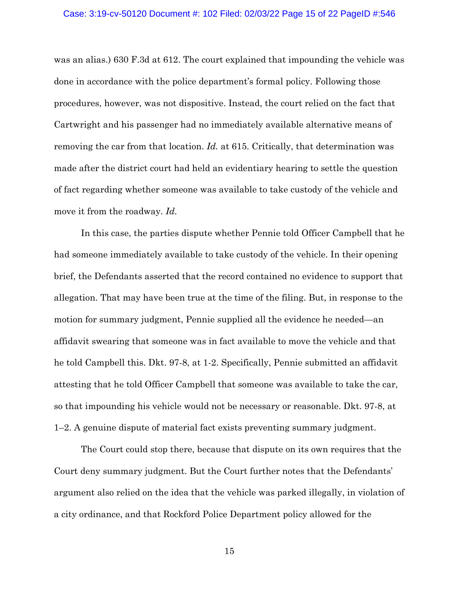#### Case: 3:19-cv-50120 Document #: 102 Filed: 02/03/22 Page 15 of 22 PageID #:546

was an alias.) 630 F.3d at 612. The court explained that impounding the vehicle was done in accordance with the police department's formal policy. Following those procedures, however, was not dispositive. Instead, the court relied on the fact that Cartwright and his passenger had no immediately available alternative means of removing the car from that location. *Id.* at 615. Critically, that determination was made after the district court had held an evidentiary hearing to settle the question of fact regarding whether someone was available to take custody of the vehicle and move it from the roadway. *Id.*

In this case, the parties dispute whether Pennie told Officer Campbell that he had someone immediately available to take custody of the vehicle. In their opening brief, the Defendants asserted that the record contained no evidence to support that allegation. That may have been true at the time of the filing. But, in response to the motion for summary judgment, Pennie supplied all the evidence he needed—an affidavit swearing that someone was in fact available to move the vehicle and that he told Campbell this. Dkt. 97-8, at 1-2. Specifically, Pennie submitted an affidavit attesting that he told Officer Campbell that someone was available to take the car, so that impounding his vehicle would not be necessary or reasonable. Dkt. 97-8, at 1–2. A genuine dispute of material fact exists preventing summary judgment.

The Court could stop there, because that dispute on its own requires that the Court deny summary judgment. But the Court further notes that the Defendants' argument also relied on the idea that the vehicle was parked illegally, in violation of a city ordinance, and that Rockford Police Department policy allowed for the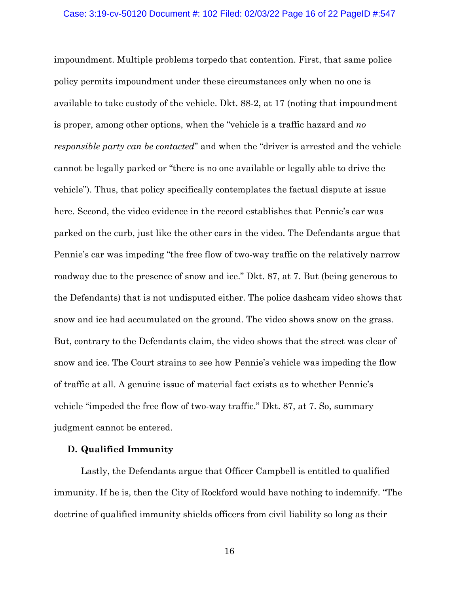impoundment. Multiple problems torpedo that contention. First, that same police policy permits impoundment under these circumstances only when no one is available to take custody of the vehicle. Dkt. 88-2, at 17 (noting that impoundment is proper, among other options, when the "vehicle is a traffic hazard and *no responsible party can be contacted*" and when the "driver is arrested and the vehicle cannot be legally parked or "there is no one available or legally able to drive the vehicle"). Thus, that policy specifically contemplates the factual dispute at issue here. Second, the video evidence in the record establishes that Pennie's car was parked on the curb, just like the other cars in the video. The Defendants argue that Pennie's car was impeding "the free flow of two-way traffic on the relatively narrow roadway due to the presence of snow and ice." Dkt. 87, at 7. But (being generous to the Defendants) that is not undisputed either. The police dashcam video shows that snow and ice had accumulated on the ground. The video shows snow on the grass. But, contrary to the Defendants claim, the video shows that the street was clear of snow and ice. The Court strains to see how Pennie's vehicle was impeding the flow of traffic at all. A genuine issue of material fact exists as to whether Pennie's vehicle "impeded the free flow of two-way traffic." Dkt. 87, at 7. So, summary judgment cannot be entered.

## **D. Qualified Immunity**

Lastly, the Defendants argue that Officer Campbell is entitled to qualified immunity. If he is, then the City of Rockford would have nothing to indemnify. "The doctrine of qualified immunity shields officers from civil liability so long as their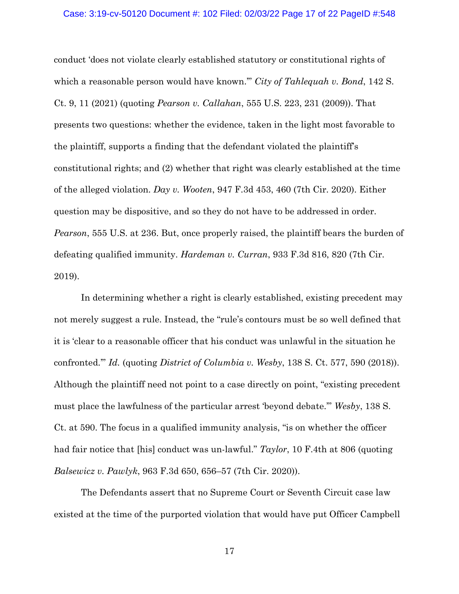### Case: 3:19-cv-50120 Document #: 102 Filed: 02/03/22 Page 17 of 22 PageID #:548

conduct 'does not violate clearly established statutory or constitutional rights of which a reasonable person would have known.'" *City of Tahlequah v. Bond*, 142 S. Ct. 9, 11 (2021) (quoting *Pearson v. Callahan*, 555 U.S. 223, 231 (2009)). That presents two questions: whether the evidence, taken in the light most favorable to the plaintiff, supports a finding that the defendant violated the plaintiff's constitutional rights; and (2) whether that right was clearly established at the time of the alleged violation. *Day v. Wooten*, 947 F.3d 453, 460 (7th Cir. 2020). Either question may be dispositive, and so they do not have to be addressed in order. *Pearson*, 555 U.S. at 236. But, once properly raised, the plaintiff bears the burden of defeating qualified immunity. *Hardeman v. Curran*, 933 F.3d 816, 820 (7th Cir. 2019).

In determining whether a right is clearly established, existing precedent may not merely suggest a rule. Instead, the "rule's contours must be so well defined that it is 'clear to a reasonable officer that his conduct was unlawful in the situation he confronted.'" *Id.* (quoting *District of Columbia v. Wesby*, 138 S. Ct. 577, 590 (2018)). Although the plaintiff need not point to a case directly on point, "existing precedent must place the lawfulness of the particular arrest 'beyond debate.'" *Wesby*, 138 S. Ct. at 590. The focus in a qualified immunity analysis, "is on whether the officer had fair notice that [his] conduct was un-lawful." *Taylor*, 10 F.4th at 806 (quoting *Balsewicz v. Pawlyk*, 963 F.3d 650, 656–57 (7th Cir. 2020)).

The Defendants assert that no Supreme Court or Seventh Circuit case law existed at the time of the purported violation that would have put Officer Campbell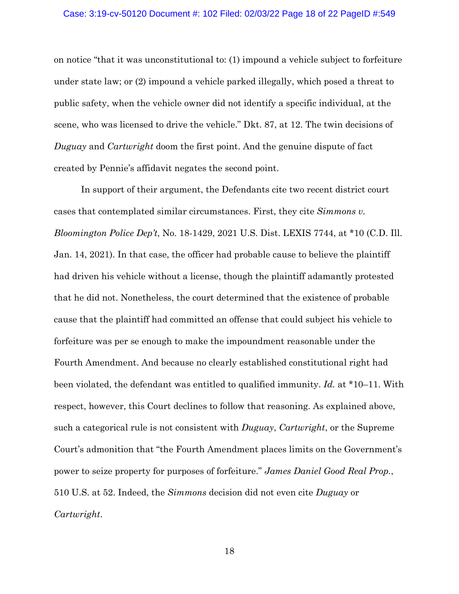#### Case: 3:19-cv-50120 Document #: 102 Filed: 02/03/22 Page 18 of 22 PageID #:549

on notice "that it was unconstitutional to: (1) impound a vehicle subject to forfeiture under state law; or (2) impound a vehicle parked illegally, which posed a threat to public safety, when the vehicle owner did not identify a specific individual, at the scene, who was licensed to drive the vehicle." Dkt. 87, at 12. The twin decisions of *Duguay* and *Cartwright* doom the first point. And the genuine dispute of fact created by Pennie's affidavit negates the second point.

In support of their argument, the Defendants cite two recent district court cases that contemplated similar circumstances. First, they cite *Simmons v. Bloomington Police Dep't*, No. 18-1429, 2021 U.S. Dist. LEXIS 7744, at \*10 (C.D. Ill. Jan. 14, 2021). In that case, the officer had probable cause to believe the plaintiff had driven his vehicle without a license, though the plaintiff adamantly protested that he did not. Nonetheless, the court determined that the existence of probable cause that the plaintiff had committed an offense that could subject his vehicle to forfeiture was per se enough to make the impoundment reasonable under the Fourth Amendment. And because no clearly established constitutional right had been violated, the defendant was entitled to qualified immunity. *Id.* at \*10–11. With respect, however, this Court declines to follow that reasoning. As explained above, such a categorical rule is not consistent with *Duguay*, *Cartwright*, or the Supreme Court's admonition that "the Fourth Amendment places limits on the Government's power to seize property for purposes of forfeiture." *James Daniel Good Real Prop.*, 510 U.S. at 52. Indeed, the *Simmons* decision did not even cite *Duguay* or *Cartwright*.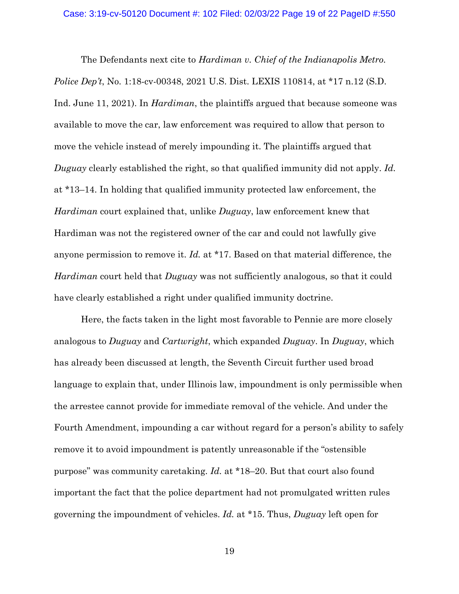The Defendants next cite to *Hardiman v. Chief of the Indianapolis Metro. Police Dep't*, No. 1:18-cv-00348, 2021 U.S. Dist. LEXIS 110814, at \*17 n.12 (S.D. Ind. June 11, 2021). In *Hardiman*, the plaintiffs argued that because someone was available to move the car, law enforcement was required to allow that person to move the vehicle instead of merely impounding it. The plaintiffs argued that *Duguay* clearly established the right, so that qualified immunity did not apply. *Id.* at \*13–14. In holding that qualified immunity protected law enforcement, the *Hardiman* court explained that, unlike *Duguay*, law enforcement knew that Hardiman was not the registered owner of the car and could not lawfully give anyone permission to remove it. *Id.* at \*17. Based on that material difference, the *Hardiman* court held that *Duguay* was not sufficiently analogous, so that it could have clearly established a right under qualified immunity doctrine.

Here, the facts taken in the light most favorable to Pennie are more closely analogous to *Duguay* and *Cartwright*, which expanded *Duguay*. In *Duguay*, which has already been discussed at length, the Seventh Circuit further used broad language to explain that, under Illinois law, impoundment is only permissible when the arrestee cannot provide for immediate removal of the vehicle. And under the Fourth Amendment, impounding a car without regard for a person's ability to safely remove it to avoid impoundment is patently unreasonable if the "ostensible purpose" was community caretaking. *Id.* at \*18–20. But that court also found important the fact that the police department had not promulgated written rules governing the impoundment of vehicles. *Id.* at \*15. Thus, *Duguay* left open for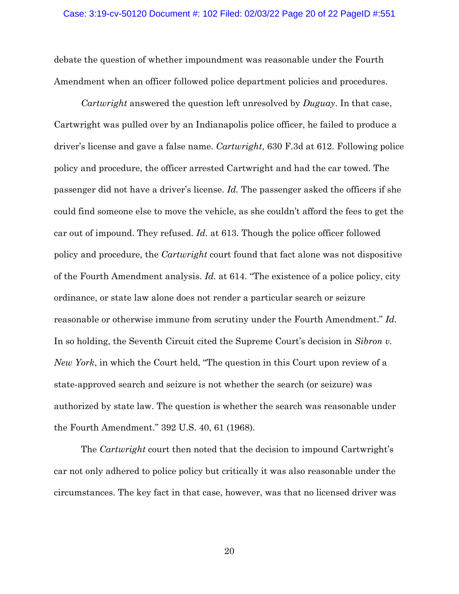debate the question of whether impoundment was reasonable under the Fourth Amendment when an officer followed police department policies and procedures.

*Cartwright* answered the question left unresolved by *Duguay*. In that case, Cartwright was pulled over by an Indianapolis police officer, he failed to produce a driver's license and gave a false name. *Cartwright*, 630 F.3d at 612. Following police policy and procedure, the officer arrested Cartwright and had the car towed. The passenger did not have a driver's license. *Id.* The passenger asked the officers if she could find someone else to move the vehicle, as she couldn't afford the fees to get the car out of impound. They refused. *Id.* at 613. Though the police officer followed policy and procedure, the *Cartwright* court found that fact alone was not dispositive of the Fourth Amendment analysis. *Id.* at 614. "The existence of a police policy, city ordinance, or state law alone does not render a particular search or seizure reasonable or otherwise immune from scrutiny under the Fourth Amendment." *Id.* In so holding, the Seventh Circuit cited the Supreme Court's decision in *Sibron v. New York*, in which the Court held, "The question in this Court upon review of a state-approved search and seizure is not whether the search (or seizure) was authorized by state law. The question is whether the search was reasonable under the Fourth Amendment." 392 U.S. 40, 61 (1968).

The *Cartwright* court then noted that the decision to impound Cartwright's car not only adhered to police policy but critically it was also reasonable under the circumstances. The key fact in that case, however, was that no licensed driver was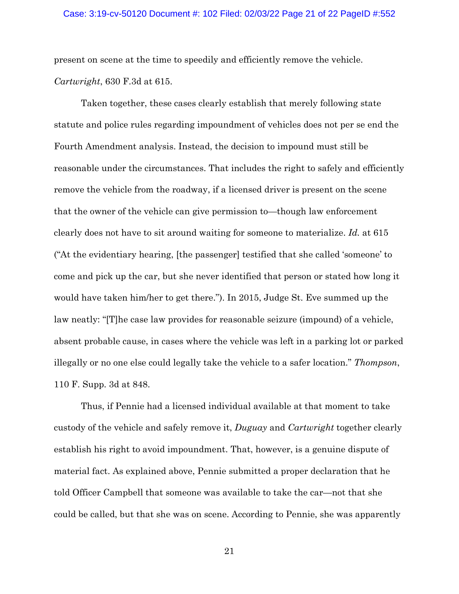#### Case: 3:19-cv-50120 Document #: 102 Filed: 02/03/22 Page 21 of 22 PageID #:552

present on scene at the time to speedily and efficiently remove the vehicle. *Cartwright*, 630 F.3d at 615.

Taken together, these cases clearly establish that merely following state statute and police rules regarding impoundment of vehicles does not per se end the Fourth Amendment analysis. Instead, the decision to impound must still be reasonable under the circumstances. That includes the right to safely and efficiently remove the vehicle from the roadway, if a licensed driver is present on the scene that the owner of the vehicle can give permission to—though law enforcement clearly does not have to sit around waiting for someone to materialize. *Id.* at 615 ("At the evidentiary hearing, [the passenger] testified that she called 'someone' to come and pick up the car, but she never identified that person or stated how long it would have taken him/her to get there."). In 2015, Judge St. Eve summed up the law neatly: "[T]he case law provides for reasonable seizure (impound) of a vehicle, absent probable cause, in cases where the vehicle was left in a parking lot or parked illegally or no one else could legally take the vehicle to a safer location." *Thompson*, 110 F. Supp. 3d at 848.

Thus, if Pennie had a licensed individual available at that moment to take custody of the vehicle and safely remove it, *Duguay* and *Cartwright* together clearly establish his right to avoid impoundment. That, however, is a genuine dispute of material fact. As explained above, Pennie submitted a proper declaration that he told Officer Campbell that someone was available to take the car—not that she could be called, but that she was on scene. According to Pennie, she was apparently